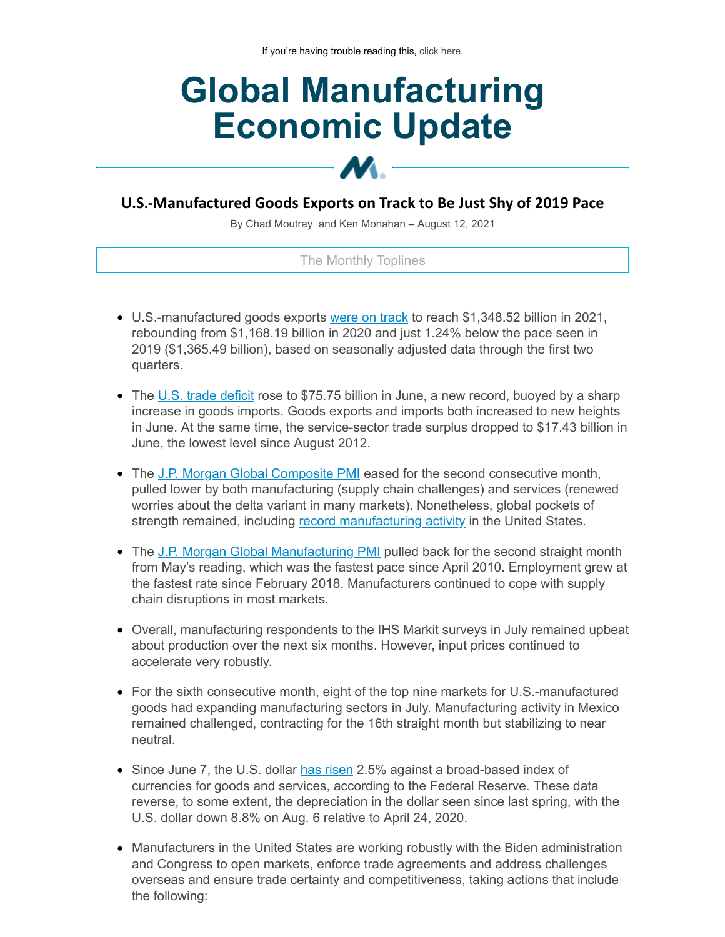# **Global Manufacturing Economic Update**

# **U.S.-Manufactured Goods Exports on Track to Be Just Shy of 2019 Pace**

 $\bm{M}$  -

By Chad Moutray and Ken Monahan – August 12, 2021

## The Monthly Toplines

- U.S.-manufactured goods exports were on [track](https://click.email.nam.org/?qs=0a876c12de45a4d82a270da42d1b0c97fc911632ba300f77aab2bb590aa7db03611b698df349800e11224322e8b5c37e1b78f2a1c3587107adf13fdafd5bc66b) to reach \$1,348.52 billion in 2021, rebounding from \$1,168.19 billion in 2020 and just 1.24% below the pace seen in 2019 (\$1,365.49 billion), based on seasonally adjusted data through the first two quarters.
- $\bullet$  The U.S. trade [deficit](https://click.email.nam.org/?qs=0a876c12de45a4d8b03f90c05a15e71ab72641ad21bb1eac8d1407a32ad2472db4fc9efc2e0d031be5cc539268d51ec12c8a1edf18d8cd2747e6bc57f517976a) rose to \$75.75 billion in June, a new record, buoyed by a sharp increase in goods imports. Goods exports and imports both increased to new heights in June. At the same time, the service-sector trade surplus dropped to \$17.43 billion in June, the lowest level since August 2012.
- The J.P. Morgan Global [Composite](https://click.email.nam.org/?qs=0a876c12de45a4d868d0f008e71bbce5bc0a63a2809dc0ba238da2b9310d8c036ec3251c9923c98ce8557642eebd612c2dabd5afd7705f1fa83f261eb36bb67b) PMI eased for the second consecutive month, pulled lower by both manufacturing (supply chain challenges) and services (renewed worries about the delta variant in many markets). Nonetheless, global pockets of strength remained, including record [manufacturing](https://click.email.nam.org/?qs=0a876c12de45a4d873035d617dca73c292bdbb7e4c636aac9c02addb1a0f7a4f3a8fc631ca0ac539003adeb6bc30a7b1f0deb9fab0a86e47303d2c52cbd7122d) activity in the United States.
- The J.P. Morgan Global [Manufacturing](https://click.email.nam.org/?qs=0a876c12de45a4d8bac0e87537a603332e84d3e4b7ee5bc1f66e84ff979b2609ce87d395cefcc3acb429c9edfb2685b508702c92a1e253e695d204690820b2c6) PMI pulled back for the second straight month from May's reading, which was the fastest pace since April 2010. Employment grew at the fastest rate since February 2018. Manufacturers continued to cope with supply chain disruptions in most markets.
- Overall, manufacturing respondents to the IHS Markit surveys in July remained upbeat about production over the next six months. However, input prices continued to accelerate very robustly.
- For the sixth consecutive month, eight of the top nine markets for U.S.-manufactured goods had expanding manufacturing sectors in July. Manufacturing activity in Mexico remained challenged, contracting for the 16th straight month but stabilizing to near neutral.
- Since June 7, the U.S. dollar has [risen](https://click.email.nam.org/?qs=0a876c12de45a4d86fa303a76dc31e5d69ce25e27de86648d20ea013786a6715b49c5f6af58a78da3342f5665f2ffec65a91d56bb95050333a178ba583d7f51b) 2.5% against a broad-based index of currencies for goods and services, according to the Federal Reserve. These data reverse, to some extent, the depreciation in the dollar seen since last spring, with the U.S. dollar down 8.8% on Aug. 6 relative to April 24, 2020.
- Manufacturers in the United States are working robustly with the Biden administration and Congress to open markets, enforce trade agreements and address challenges overseas and ensure trade certainty and competitiveness, taking actions that include the following: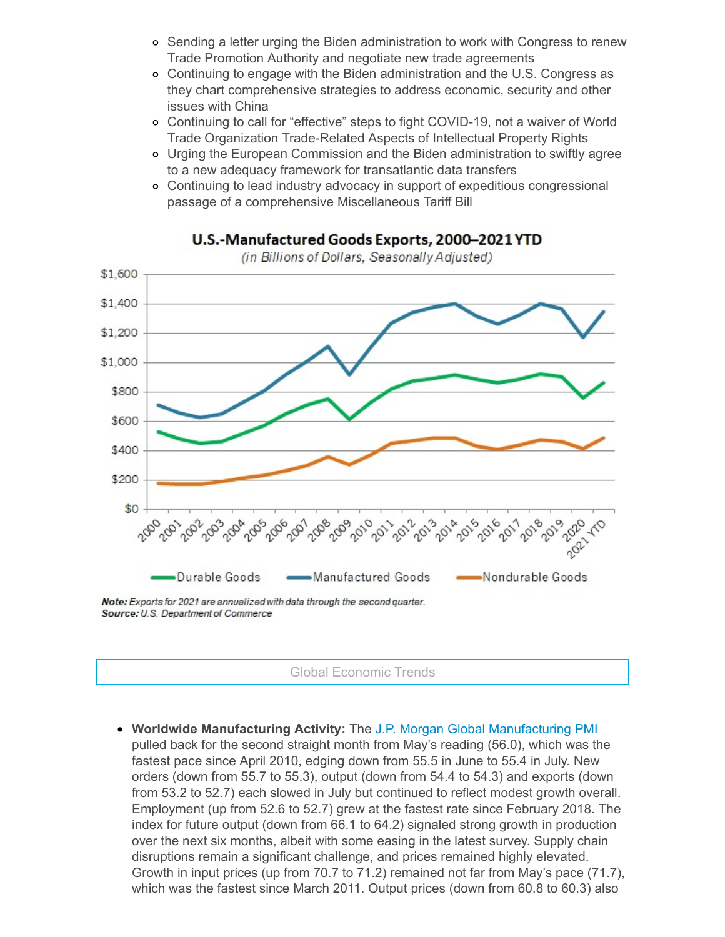- o Sending a letter urging the Biden administration to work with Congress to renew Trade Promotion Authority and negotiate new trade agreements
- Continuing to engage with the Biden administration and the U.S. Congress as they chart comprehensive strategies to address economic, security and other issues with China
- Continuing to call for "effective" steps to fight COVID-19, not a waiver of World Trade Organization Trade-Related Aspects of Intellectual Property Rights
- Urging the European Commission and the Biden administration to swiftly agree to a new adequacy framework for transatlantic data transfers
- Continuing to lead industry advocacy in support of expeditious congressional passage of a comprehensive Miscellaneous Tariff Bill



U.S.-Manufactured Goods Exports, 2000-2021 YTD (in Billions of Dollars, Seasonally Adjusted)

Source: U.S. Department of Commerce

Global Economic Trends

**Worldwide Manufacturing Activity:** The J.P. Morgan Global [Manufacturing](https://click.email.nam.org/?qs=0a876c12de45a4d8bac0e87537a603332e84d3e4b7ee5bc1f66e84ff979b2609ce87d395cefcc3acb429c9edfb2685b508702c92a1e253e695d204690820b2c6) PMI pulled back for the second straight month from May's reading (56.0), which was the fastest pace since April 2010, edging down from 55.5 in June to 55.4 in July. New orders (down from 55.7 to 55.3), output (down from 54.4 to 54.3) and exports (down from 53.2 to 52.7) each slowed in July but continued to reflect modest growth overall. Employment (up from 52.6 to 52.7) grew at the fastest rate since February 2018. The index for future output (down from 66.1 to 64.2) signaled strong growth in production over the next six months, albeit with some easing in the latest survey. Supply chain disruptions remain a significant challenge, and prices remained highly elevated. Growth in input prices (up from 70.7 to 71.2) remained not far from May's pace (71.7), which was the fastest since March 2011. Output prices (down from 60.8 to 60.3) also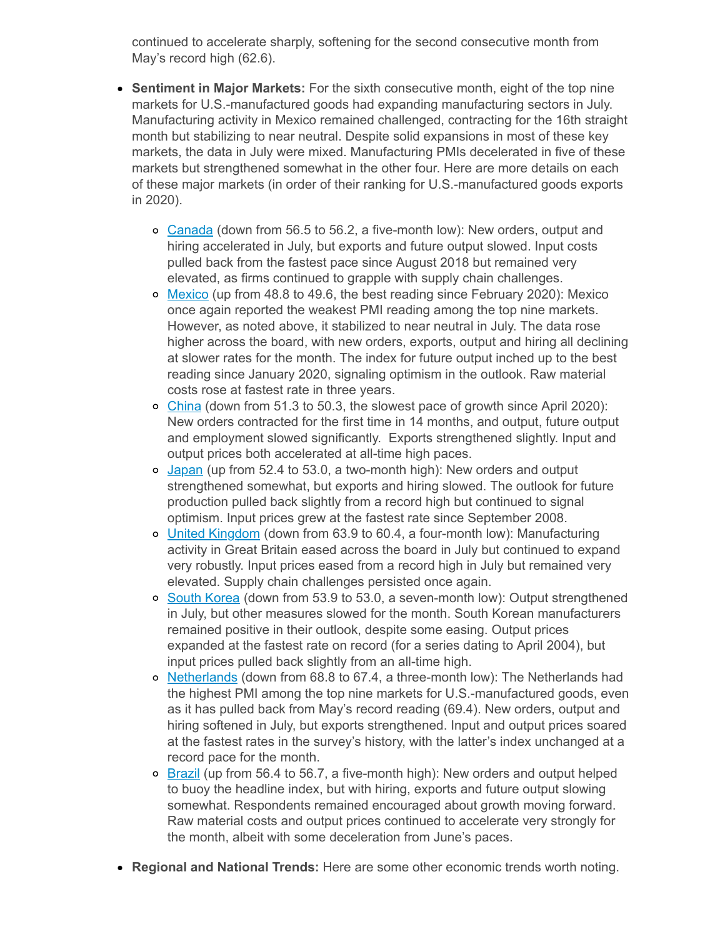continued to accelerate sharply, softening for the second consecutive month from May's record high (62.6).

- **Sentiment in Major Markets:** For the sixth consecutive month, eight of the top nine markets for U.S.-manufactured goods had expanding manufacturing sectors in July. Manufacturing activity in Mexico remained challenged, contracting for the 16th straight month but stabilizing to near neutral. Despite solid expansions in most of these key markets, the data in July were mixed. Manufacturing PMIs decelerated in five of these markets but strengthened somewhat in the other four. Here are more details on each of these major markets (in order of their ranking for U.S.-manufactured goods exports in 2020).
	- [Canada](https://click.email.nam.org/?qs=0a876c12de45a4d8d0cbc812d44fc931880e35832563e90672515b75cc9fbccef090b0b2a21ff8a15f660f363804150e551902b11729ea783b7f56b88507ee59) (down from 56.5 to 56.2, a five-month low): New orders, output and hiring accelerated in July, but exports and future output slowed. Input costs pulled back from the fastest pace since August 2018 but remained very elevated, as firms continued to grapple with supply chain challenges.
	- o [Mexico](https://click.email.nam.org/?qs=0a876c12de45a4d8ee654641c94300b110e25974be4aff1f76488d317cc89fb8ce90530ba93baba475ceafbec481d0018644d49590163f7c1df06cc0d4facae3) (up from 48.8 to 49.6, the best reading since February 2020): Mexico once again reported the weakest PMI reading among the top nine markets. However, as noted above, it stabilized to near neutral in July. The data rose higher across the board, with new orders, exports, output and hiring all declining at slower rates for the month. The index for future output inched up to the best reading since January 2020, signaling optimism in the outlook. Raw material costs rose at fastest rate in three years.
	- [China](https://click.email.nam.org/?qs=0a876c12de45a4d87b47be1b7e97311861fb309422e7ab77f825a271facc87e08c41bf3efa55f8eb9f6db0b68df7dba8c13d7858d445ab834a1412a9b9c064e2) (down from 51.3 to 50.3, the slowest pace of growth since April 2020): New orders contracted for the first time in 14 months, and output, future output and employment slowed significantly. Exports strengthened slightly. Input and output prices both accelerated at all-time high paces.
	- o [Japan](https://click.email.nam.org/?qs=0a876c12de45a4d820897d445520e68a78232104c8035e400ea39b96ba54750ca9de8e3e8efe50dc0a1173feab37f81f5821eaf1b5b54cfa90ed5af1c84a13d8) (up from 52.4 to 53.0, a two-month high): New orders and output strengthened somewhat, but exports and hiring slowed. The outlook for future production pulled back slightly from a record high but continued to signal optimism. Input prices grew at the fastest rate since September 2008.
	- o United [Kingdom](https://click.email.nam.org/?qs=0a876c12de45a4d85e6a4139a8e55eeab3952b72bc98a687668c55bfb927bd00a8a8fe2bc4164b4f0cd49375f247ecd223e2d08bf2490df763cec5d41c723900) (down from 63.9 to 60.4, a four-month low): Manufacturing activity in Great Britain eased across the board in July but continued to expand very robustly. Input prices eased from a record high in July but remained very elevated. Supply chain challenges persisted once again.
	- o South [Korea](https://click.email.nam.org/?qs=0a876c12de45a4d8eb885074344f0b34cd34959289c3a3f8f3f566379a9d3c2190455682f610dd757eec8a247df119d2ca31ceeaff395e3f1b6a1cb7d14b92d4) (down from 53.9 to 53.0, a seven-month low): Output strengthened in July, but other measures slowed for the month. South Korean manufacturers remained positive in their outlook, despite some easing. Output prices expanded at the fastest rate on record (for a series dating to April 2004), but input prices pulled back slightly from an all-time high.
	- $\circ$  [Netherlands](https://click.email.nam.org/?qs=0a876c12de45a4d8af888388010257c3b3efbd5fa23340c811c2dbbb0cfd88a03a7ba2bcdf11470e5cb4ced05ff805732358059de26b336288fd3a5af16dd6fe) (down from 68.8 to 67.4, a three-month low): The Netherlands had the highest PMI among the top nine markets for U.S.-manufactured goods, even as it has pulled back from May's record reading (69.4). New orders, output and hiring softened in July, but exports strengthened. Input and output prices soared at the fastest rates in the survey's history, with the latter's index unchanged at a record pace for the month.
	- o [Brazil](https://click.email.nam.org/?qs=0a876c12de45a4d85bd53c6cedf986f69495697063a58282f488d887b8e0f9d895502ea2d5cb9904aa0673f2e129d7645edde5a60df1316fb36a6c8e03549065) (up from 56.4 to 56.7, a five-month high): New orders and output helped to buoy the headline index, but with hiring, exports and future output slowing somewhat. Respondents remained encouraged about growth moving forward. Raw material costs and output prices continued to accelerate very strongly for the month, albeit with some deceleration from June's paces.
- **Regional and National Trends:** Here are some other economic trends worth noting.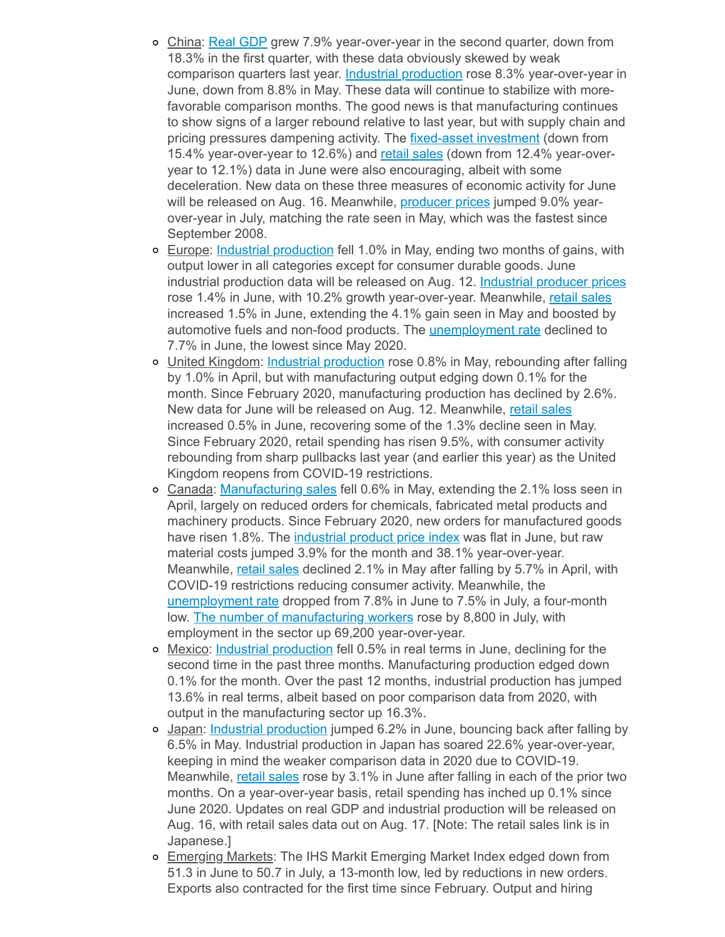- China: Real [GDP](https://click.email.nam.org/?qs=0a876c12de45a4d8fcce3ff562edd8e177a75eb40620b691f8ff21dcc6859568de4673cd3865593f87d051971cac39eb94049ae26dadaa69bfcda4443a910d3f) grew 7.9% year-over-year in the second quarter, down from 18.3% in the first quarter, with these data obviously skewed by weak comparison quarters last year. Industrial [production](https://click.email.nam.org/?qs=0a876c12de45a4d83eeb3d532d955c08d45061515a7a473af441c962c4c78ea3229d77b45cb1eb3d8028079d9fcfce58179550ce31802885061dc36d9b6589d2) rose 8.3% year-over-year in June, down from 8.8% in May. These data will continue to stabilize with morefavorable comparison months. The good news is that manufacturing continues to show signs of a larger rebound relative to last year, but with supply chain and pricing pressures dampening activity. The **fixed-asset [investment](https://click.email.nam.org/?qs=0a876c12de45a4d873dbf9259d7c7416c8d6d69f36bda4caa5897fb57a0f5e38f950e7e440959cd66c08db761e18ab1a5f114d0c953d76f03efb58e1008d6de3)** (down from 15.4% year-over-year to 12.6%) and retail [sales](https://click.email.nam.org/?qs=0a876c12de45a4d8a539028648778e50a6c4cd240b113c9dd65f57a067553e09294b9eb07ced597fdb653ae63c2dadeb3309ab12d3734d4c08f11884ae5a0236) (down from 12.4% year-overyear to 12.1%) data in June were also encouraging, albeit with some deceleration. New data on these three measures of economic activity for June will be released on Aug. 16. Meanwhile, *[producer](https://click.email.nam.org/?qs=0a876c12de45a4d8fcff0616464c071795e6372532e94a1b85bbae16c54fcf98753842d79efe63fa0b076a28baff8d4ccc71f087bb8c493b8b79695fbf27e8ae) prices* jumped 9.0% yearover-year in July, matching the rate seen in May, which was the fastest since September 2008.
- Europe: Industrial [production](https://click.email.nam.org/?qs=0a876c12de45a4d87b1ccabf4d80f1ceef098298dab00f69948b19efde44d94b0e37c052282a0d0d1833f43897cf378e0be79b4767921018b0b2fa221baeb4b5) fell 1.0% in May, ending two months of gains, with output lower in all categories except for consumer durable goods. June industrial production data will be released on Aug. 12. [Industrial](https://click.email.nam.org/?qs=0a876c12de45a4d866f71bbbce128400afd4dfbc559d0a5fc49ae32a9386f8861abdfc167aef8aedebbb02ed51549b1b761da88ce3ddde9397c39780dbc0aba8) producer prices rose 1.4% in June, with 10.2% growth year-over-year. Meanwhile, retail [sales](https://click.email.nam.org/?qs=0a876c12de45a4d8f7322de16855ec1c8d110db6187457efd26eebba4a6eccfc578807fe6c522135d1446082b6db245a30c76627185af462e91f3d221057a7a1) increased 1.5% in June, extending the 4.1% gain seen in May and boosted by automotive fuels and non-food products. The *[unemployment](https://click.email.nam.org/?qs=0a876c12de45a4d890abd0c170a9d6e16d5ad7c92d1869f45ab3e8810b99e6656c365730f1eaf0ab1f03a667cfe7294e25182cdd97ba838751c535658decfea8) rate* declined to 7.7% in June, the lowest since May 2020.
- United Kingdom: Industrial [production](https://click.email.nam.org/?qs=0a876c12de45a4d8ba3129a781f2d23d013c2c9bde201b54f22566167fc1517b6de51f8d5b1f6f18401dd552f2d06bf166c877e70e5f4bed1d439b2e25ff1bfd) rose 0.8% in May, rebounding after falling by 1.0% in April, but with manufacturing output edging down 0.1% for the month. Since February 2020, manufacturing production has declined by 2.6%. New data for June will be released on Aug. 12. Meanwhile, retail [sales](https://click.email.nam.org/?qs=0a876c12de45a4d8d22be9cd638c023235c0399bcb01d6312c1a92e96a05ceb8475712ccb18b294ba84b608009a8eafbe5a6457b9c43a2bedbcb3d656e60f78b) increased 0.5% in June, recovering some of the 1.3% decline seen in May. Since February 2020, retail spending has risen 9.5%, with consumer activity rebounding from sharp pullbacks last year (and earlier this year) as the United Kingdom reopens from COVID-19 restrictions.
- Canada: [Manufacturing](https://click.email.nam.org/?qs=0a876c12de45a4d884f90dce73574c5ecd7051bfb8fdd0a4dac3308c6ad6d2337a9dc938c1ab61d40130b2be5cc80a1b5a1799d8633e6a9a9b59baf7e1e4487c) sales fell 0.6% in May, extending the 2.1% loss seen in April, largely on reduced orders for chemicals, fabricated metal products and machinery products. Since February 2020, new orders for manufactured goods have risen 1.8%. The *[industrial](https://click.email.nam.org/?qs=0a876c12de45a4d822ba6bfeab6721d338bd11f61766f3428032e59100f8afc65fa1b13775c7cb324c1e9e364f08b9303c17bbc7ae9a401c4ce6e6101d4e17a8) product price index* was flat in June, but raw material costs jumped 3.9% for the month and 38.1% year-over-year. Meanwhile, retail [sales](https://click.email.nam.org/?qs=0a876c12de45a4d8f746a4c7b0da74eb641acd5e038acb39d4edeac75278ac34d0081d55118e952665f4cb34c2da8e8d30ba3c0c92e19c58e2d303bf257c1400) declined 2.1% in May after falling by 5.7% in April, with COVID-19 restrictions reducing consumer activity. Meanwhile, the [unemployment](https://click.email.nam.org/?qs=0a876c12de45a4d8dcfa4eec2338df37e95698acaac6f9ef91787ddf9902acc5bc0cad10702e44b45dcd5c144de35150ae4ff92dc87b6fd59e4be3fc790fc444) rate dropped from 7.8% in June to 7.5% in July, a four-month low. The number of [manufacturing](https://click.email.nam.org/?qs=0a876c12de45a4d837e37e79e138756b639bd8a08e7a5a640dfc9f841e90912a2d982a91d2e93d6c98840c0194ddeade9ec18cc378df7d77c571bc0c4aa16947) workers rose by 8,800 in July, with employment in the sector up 69,200 year-over-year.
- o Mexico: Industrial [production](https://click.email.nam.org/?qs=0a876c12de45a4d84b9993a924a2f6f375a707ba36d79eaab45496a1ab377ff5910e072f8064f1675ba4af124ce902e1cb1de78441eaf880c78d8ef906f11f22) fell 0.5% in real terms in June, declining for the second time in the past three months. Manufacturing production edged down 0.1% for the month. Over the past 12 months, industrial production has jumped 13.6% in real terms, albeit based on poor comparison data from 2020, with output in the manufacturing sector up 16.3%.
- Japan: Industrial [production](https://click.email.nam.org/?qs=0a876c12de45a4d87e3a3063b97e32c06a91e5183fb12de7300c87cead7884939e38f6309b24f65ca9c9e10903140ba0261d62ac6e4cb4a25239557c2819963f) jumped 6.2% in June, bouncing back after falling by 6.5% in May. Industrial production in Japan has soared 22.6% year-over-year, keeping in mind the weaker comparison data in 2020 due to COVID-19. Meanwhile, retail [sales](https://click.email.nam.org/?qs=944297f58779ab9476d498b320b38910d784ae5092eb8c1f0143fe514485e7666b27a8c60561e088d33fde666feb28cb620979311351a36a1512a0a43f5947fd) rose by 3.1% in June after falling in each of the prior two months. On a year-over-year basis, retail spending has inched up 0.1% since June 2020. Updates on real GDP and industrial production will be released on Aug. 16, with retail sales data out on Aug. 17. [Note: The retail sales link is in Japanese.]
- o Emerging Markets: The IHS Markit Emerging Market Index edged down from 51.3 in June to 50.7 in July, a 13-month low, led by reductions in new orders. Exports also contracted for the first time since February. Output and hiring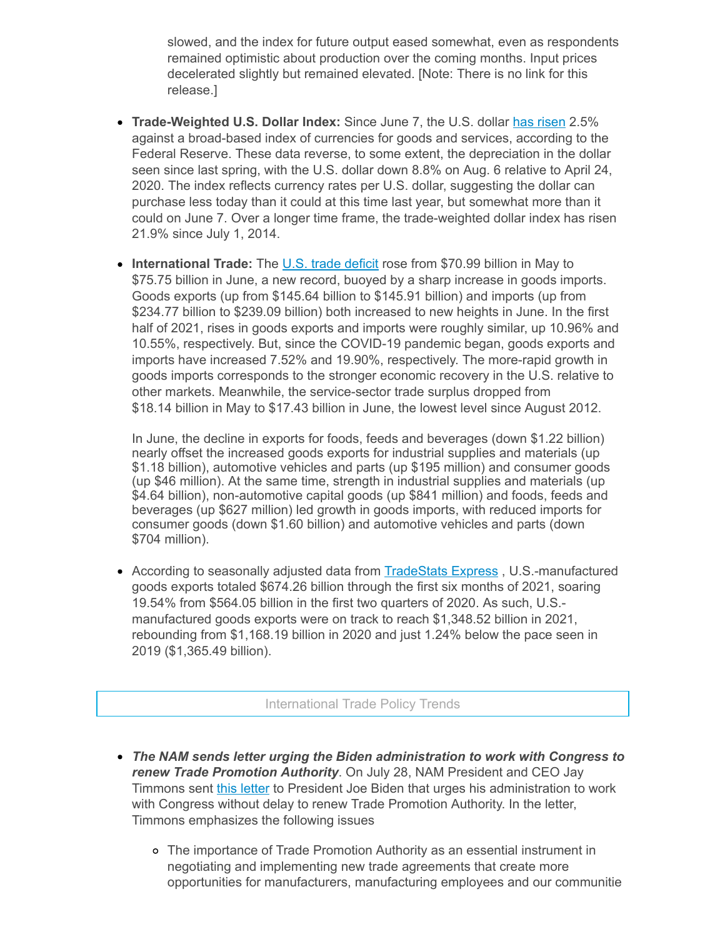slowed, and the index for future output eased somewhat, even as respondents remained optimistic about production over the coming months. Input prices decelerated slightly but remained elevated. [Note: There is no link for this release.]

- **Trade-Weighted U.S. Dollar Index:** Since June 7, the U.S. dollar has [risen](https://click.email.nam.org/?qs=0a876c12de45a4d86fa303a76dc31e5d69ce25e27de86648d20ea013786a6715b49c5f6af58a78da3342f5665f2ffec65a91d56bb95050333a178ba583d7f51b) 2.5% against a broad-based index of currencies for goods and services, according to the Federal Reserve. These data reverse, to some extent, the depreciation in the dollar seen since last spring, with the U.S. dollar down 8.8% on Aug. 6 relative to April 24, 2020. The index reflects currency rates per U.S. dollar, suggesting the dollar can purchase less today than it could at this time last year, but somewhat more than it could on June 7. Over a longer time frame, the trade-weighted dollar index has risen 21.9% since July 1, 2014.
- **International Trade:** The U.S. trade [deficit](https://click.email.nam.org/?qs=0a876c12de45a4d8b03f90c05a15e71ab72641ad21bb1eac8d1407a32ad2472db4fc9efc2e0d031be5cc539268d51ec12c8a1edf18d8cd2747e6bc57f517976a) rose from \$70.99 billion in May to \$75.75 billion in June, a new record, buoyed by a sharp increase in goods imports. Goods exports (up from \$145.64 billion to \$145.91 billion) and imports (up from \$234.77 billion to \$239.09 billion) both increased to new heights in June. In the first half of 2021, rises in goods exports and imports were roughly similar, up 10.96% and 10.55%, respectively. But, since the COVID-19 pandemic began, goods exports and imports have increased 7.52% and 19.90%, respectively. The more-rapid growth in goods imports corresponds to the stronger economic recovery in the U.S. relative to other markets. Meanwhile, the service-sector trade surplus dropped from \$18.14 billion in May to \$17.43 billion in June, the lowest level since August 2012.

In June, the decline in exports for foods, feeds and beverages (down \$1.22 billion) nearly offset the increased goods exports for industrial supplies and materials (up \$1.18 billion), automotive vehicles and parts (up \$195 million) and consumer goods (up \$46 million). At the same time, strength in industrial supplies and materials (up \$4.64 billion), non-automotive capital goods (up \$841 million) and foods, feeds and beverages (up \$627 million) led growth in goods imports, with reduced imports for consumer goods (down \$1.60 billion) and automotive vehicles and parts (down \$704 million).

• According to seasonally adjusted data from **[TradeStats](https://click.email.nam.org/?qs=0a876c12de45a4d82a270da42d1b0c97fc911632ba300f77aab2bb590aa7db03611b698df349800e11224322e8b5c37e1b78f2a1c3587107adf13fdafd5bc66b) Express**, U.S.-manufactured goods exports totaled \$674.26 billion through the first six months of 2021, soaring 19.54% from \$564.05 billion in the first two quarters of 2020. As such, U.S. manufactured goods exports were on track to reach \$1,348.52 billion in 2021, rebounding from \$1,168.19 billion in 2020 and just 1.24% below the pace seen in 2019 (\$1,365.49 billion).

## International Trade Policy Trends

- *The NAM sends letter urging the Biden administration to work with Congress to renew Trade Promotion Authority*. On July 28, NAM President and CEO Jay Timmons sent this [letter](https://click.email.nam.org/?qs=944297f58779ab943711a91674637deb8843fff455910f60ec779f99ad1ab95c5bebdc6384a5c41052ab29e6a226fdb58ff7a25c8b993e92ffbeee4ef48f2724) to President Joe Biden that urges his administration to work with Congress without delay to renew Trade Promotion Authority. In the letter, Timmons emphasizes the following issues
	- The importance of Trade Promotion Authority as an essential instrument in negotiating and implementing new trade agreements that create more opportunities for manufacturers, manufacturing employees and our communitie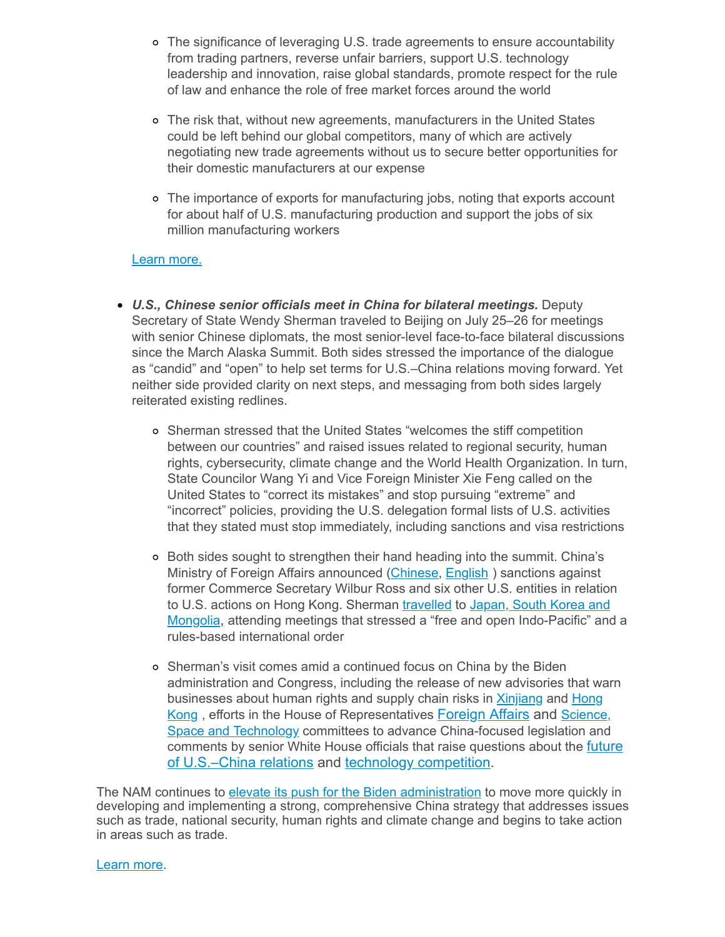- The significance of leveraging U.S. trade agreements to ensure accountability from trading partners, reverse unfair barriers, support U.S. technology leadership and innovation, raise global standards, promote respect for the rule of law and enhance the role of free market forces around the world
- The risk that, without new agreements, manufacturers in the United States could be left behind our global competitors, many of which are actively negotiating new trade agreements without us to secure better opportunities for their domestic manufacturers at our expense
- The importance of exports for manufacturing jobs, noting that exports account for about half of U.S. manufacturing production and support the jobs of six million manufacturing workers

#### Learn [more.](mailto:msierra@nam.org?subject=Trade%20Promotion%20Authority)

- *U.S., Chinese senior officials meet in China for bilateral meetings.* Deputy Secretary of State Wendy Sherman traveled to Beijing on July 25–26 for meetings with senior Chinese diplomats, the most senior-level face-to-face bilateral discussions since the March Alaska Summit. Both sides stressed the importance of the dialogue as "candid" and "open" to help set terms for U.S.–China relations moving forward. Yet neither side provided clarity on next steps, and messaging from both sides largely reiterated existing redlines.
	- Sherman stressed that the United States "welcomes the stiff competition between our countries" and raised issues related to regional security, human rights, cybersecurity, climate change and the World Health Organization. In turn, State Councilor Wang Yi and Vice Foreign Minister Xie Feng called on the United States to "correct its mistakes" and stop pursuing "extreme" and "incorrect" policies, providing the U.S. delegation formal lists of U.S. activities that they stated must stop immediately, including sanctions and visa restrictions
	- Both sides sought to strengthen their hand heading into the summit. China's Ministry of Foreign Affairs announced ([Chinese](https://click.email.nam.org/?qs=944297f58779ab94650e0e5d15e7c91a15edf39c8641953348650d3ae99273a9ec2975fca928f3db747dffcbb84c41e7ad4883c5896383d416f2434cf7571917), [English](https://click.email.nam.org/?qs=944297f58779ab949eeee6d1dc4479825ce834656a5164a9be04f1cd8f8975885af72b5bc56a159f409fb5ec32d125f3651e2dd1305972b779d955ec5cbb1e2e)) sanctions against former Commerce Secretary Wilbur Ross and six other U.S. entities in relation to U.S. actions on Hong Kong. Sherman [travelled](https://click.email.nam.org/?qs=944297f58779ab943e2b4dda0ea097d91a56608fa760f36daeed8755dfa1b633b6d497dcb4ea873051eecf637ab93448999bb89ccd74bfaa24f066e0de20846e) to Japan, South Korea and Mongolia, attending meetings that stressed a "free and open [Indo-Pacific"](https://click.email.nam.org/?qs=944297f58779ab942b558a8b48b9b8196720cab5257426ff91b01203f2c7b518ebfdbaf651f457e1c37ae060d5aec96272decbd6c7faf5fcac5e6d05f6760499) and a rules-based international order
	- Sherman's visit comes amid a continued focus on China by the Biden administration and Congress, including the release of new advisories that warn businesses about human rights and supply chain risks in **[Xinjiang](https://click.email.nam.org/?qs=944297f58779ab941b4d944f2dbf5b82fbf85b2baff8612a159e57b270e9b726b707d49f56f2cc3fd4355ab44eaf235b4bc06051d367f30a67ceb20a954b534c) and Hong** Kong , efforts in the House of Representatives [Foreign Affairs and](https://click.email.nam.org/?qs=944297f58779ab94be9a32dff9181bd4e65034345e4a3a0e99de7fd6737aad49b3900fbf2af455b2da1c4dd3ab4dacecc113279d7260cdf185ead5d874d272dd) Science, Space and Technology committees to advance China-focused legislation and comments by senior White House officials that raise questions about the **future** [of U.S.–China relations and technology competition.](https://click.email.nam.org/?qs=944297f58779ab948b59a0faa0e5dd295cb9a1e4cc7b3046129e1027796d3c250939699ecb3f5d9455ce828f233de5a8bccb4f4b2cd953bb9174d942972f057a)

The NAM continues to elevate its push for the Biden [administration](https://click.email.nam.org/?qs=944297f58779ab948382b36d9f79a53f56cc3e0e9fcf7d390071a9877777de317f10b07c36401558af5788fe087c0f4d9408f9729b4d5362ecc6e49dd7fb961e) to move more quickly in developing and implementing a strong, comprehensive China strategy that addresses issues such as trade, national security, human rights and climate change and begins to take action in areas such as trade.

[Learn](mailto:rong@nam.org?subject=China) more.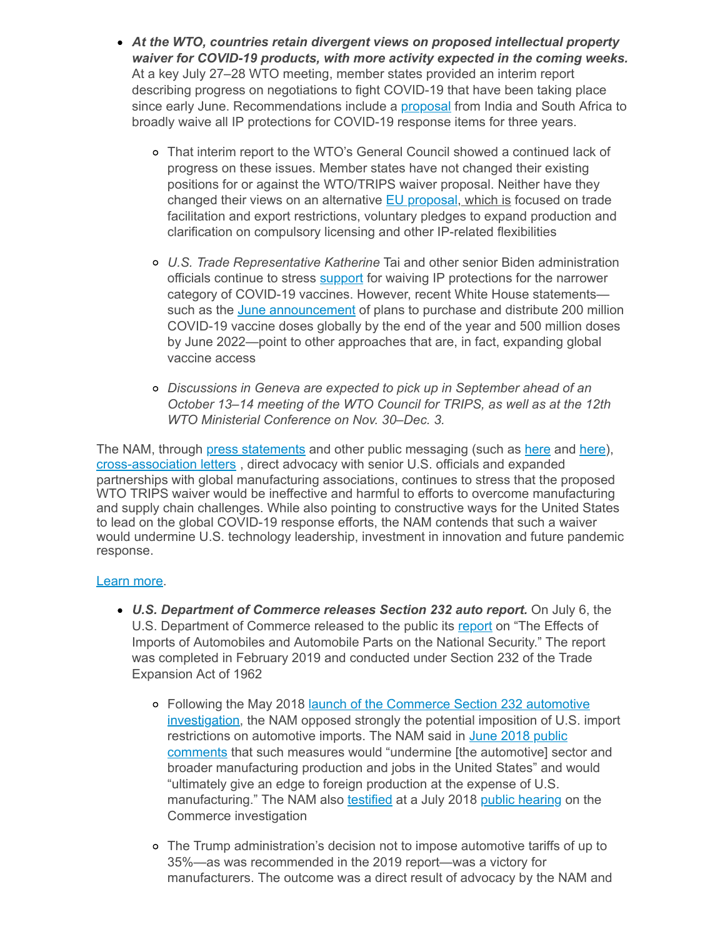- *At the WTO, countries retain divergent views on proposed intellectual property waiver for COVID-19 products, with more activity expected in the coming weeks.* At a key July 27–28 WTO meeting, member states provided an interim report describing progress on negotiations to fight COVID-19 that have been taking place since early June. Recommendations include a [proposal](https://click.email.nam.org/?qs=944297f58779ab948d13062fcf8ea1398757f84adc9a1f27417b2384c3e0d6d746078480089e82385ce11f5e1ed41d965abb6c7680d3b8f99ec7106392948c9d) from India and South Africa to broadly waive all IP protections for COVID-19 response items for three years.
	- That interim report to the WTO's General Council showed a continued lack of progress on these issues. Member states have not changed their existing positions for or against the WTO/TRIPS waiver proposal. Neither have they changed their views on an alternative **EU** [proposal,](https://click.email.nam.org/?qs=944297f58779ab9436224dfcdfb53dfca07965549cb54bf7728e0a4219ff17604b56e5908b9484b281a91d7d4d2a5ecfea2b8fd8ec163bb55dbb58cab0b45975) which is focused on trade facilitation and export restrictions, voluntary pledges to expand production and clarification on compulsory licensing and other IP-related flexibilities
	- *U.S. Trade Representative Katherine* Tai and other senior Biden administration officials continue to stress **[support](https://click.email.nam.org/?qs=944297f58779ab94c1d6eff578ea8588da6ace3f843e8fdc070761482bd55b97cdf7092ec0339916619ef8d3d392844d12a36d51ef14fdf6abf19dc14ff1abb7)** for waiving IP protections for the narrower category of COVID-19 vaccines. However, recent White House statements such as the June [announcement](https://click.email.nam.org/?qs=944297f58779ab946a83049fdf81fa2713a2f768f0acac66d5f89a058df55c0b509388bc464f1b22c4d129ac1f557a03db265efda01c2e0896013df16a21e6ad) of plans to purchase and distribute 200 million COVID-19 vaccine doses globally by the end of the year and 500 million doses by June 2022—point to other approaches that are, in fact, expanding global vaccine access
	- *Discussions in Geneva are expected to pick up in September ahead of an October 13–14 meeting of the WTO Council for TRIPS, as well as at the 12th WTO Ministerial Conference on Nov. 30–Dec. 3.*

The NAM, through press [statements](https://click.email.nam.org/?qs=944297f58779ab948669d48a29f5d449fdda2a4d4d549ccebb13cde02b33e917c50aed7076454718f27c4db67e06c067dee9ba4fe7e08680c3adccb7752c09e6) and other public messaging (such as [here](https://click.email.nam.org/?qs=944297f58779ab943b13520a3b3b1d546624c3feaed0fb92660252919c1b7deda97cf3cfe7a18303182c0aa653369bc9b6357e1f2f478a2416899de44caf74cd) and [here\)](https://click.email.nam.org/?qs=944297f58779ab944bda2ea8e5974f3fbaeb8462e21a2426466cc6aba528075a87f2c39e11539cc0a7c469261f0ca2d1e931e1e26192b65b60b60f60e893712f), [cross-association](https://click.email.nam.org/?qs=944297f58779ab94b525577b3b040014cbc93713ccca12437ac493d50c4035da39b3d2d4658205855c79d5b027fae7f093857d8f59b1fb66d3d8752825518127) letters , direct advocacy with senior U.S. officials and expanded partnerships with global manufacturing associations, continues to stress that the proposed WTO TRIPS waiver would be ineffective and harmful to efforts to overcome manufacturing and supply chain challenges. While also pointing to constructive ways for the United States to lead on the global COVID-19 response efforts, the NAM contends that such a waiver would undermine U.S. technology leadership, investment in innovation and future pandemic response.

## [Learn](mailto:kmonahan@nam.org;rong@nam.org;msierra@nam.org?subject=WTO-TRIPS) more.

- *U.S. Department of Commerce releases Section 232 auto report.* On July 6, the U.S. Department of Commerce released to the public its [report](https://click.email.nam.org/?qs=944297f58779ab94edd20323396abcb33eb03b5d8464ede990c405a4e864115b43826a1291f792a362e57d7c6c8aad025a3e8b58629afba1f3a5a7729a43c691) on "The Effects of Imports of Automobiles and Automobile Parts on the National Security." The report was completed in February 2019 and conducted under Section 232 of the Trade Expansion Act of 1962
	- o Following the May 2018 launch of the Commerce Section 232 automotive [investigation,](https://click.email.nam.org/?qs=944297f58779ab9403437ee8b64bf93e0ad2ebd1db58f9771889e19374bdd87428fe495e4d0a634db30ab36e0ccac5ab32d575aad8607164237e8115b9e05f92) the NAM opposed strongly the potential imposition of U.S. import restrictions on automotive imports. The NAM said in June 2018 public comments that such measures would "undermine [the [automotive\]](https://click.email.nam.org/?qs=944297f58779ab94eaa78e171b1185c0545ef93aa824716b3f074e859143cef1fd6e9d8bd18238d0e373108359ef8736c7748f4d50aea8e38bd75d5429a66406) sector and broader manufacturing production and jobs in the United States" and would "ultimately give an edge to foreign production at the expense of U.S. manufacturing." The NAM also [testified](https://click.email.nam.org/?qs=944297f58779ab9493b7d9fbdac43f100fa1a11b06ece155c7597594cc50c6c0a576fa03368c89543fef64998542c15921fe3f346a49e71562fcf825081542ec) at a July 2018 public [hearing](https://click.email.nam.org/?qs=944297f58779ab94686bd9cacc2bf8ca8570843eb776b90a7734503fd2eaeb175e25f12f5c1e828aef002b4abece0c682baf80d79457156944cda2166cd33f34) on the Commerce investigation
	- The Trump administration's decision not to impose automotive tariffs of up to 35%—as was recommended in the 2019 report—was a victory for manufacturers. The outcome was a direct result of advocacy by the NAM and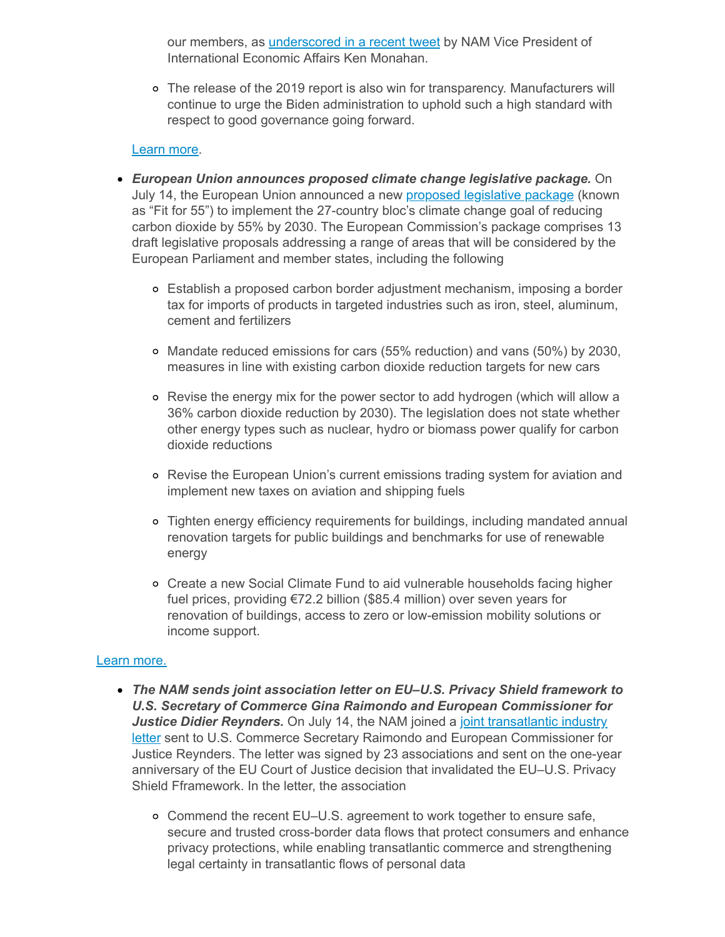our members, as [underscored](https://click.email.nam.org/?qs=944297f58779ab94ab14a59d3f64f9e3234cf8cad3ddb13df13e1199739ba541849a5915de9eb0627b658f581f8dd5d164f9e6c603b6b08a5253c2d6726d2384) in a recent tweet by NAM Vice President of International Economic Affairs Ken Monahan.

The release of the 2019 report is also win for transparency. Manufacturers will continue to urge the Biden administration to uphold such a high standard with respect to good governance going forward.

#### [Learn](mailto:kmonahan@nam.org?subject=Section%20232%20Autos%20Report) more.

- *European Union announces proposed climate change legislative package.* On July 14, the European Union announced a new **proposed [legislative](https://click.email.nam.org/?qs=944297f58779ab940dbd9ec0d19a4cce0596c6b00afc705e233fa21fd8bcb9659b8bd902eae4c3dd045c72692fca07af6372592f2761fa8279370656fcf55a25) package** (known as "Fit for 55") to implement the 27-country bloc's climate change goal of reducing carbon dioxide by 55% by 2030. The European Commission's package comprises 13 draft legislative proposals addressing a range of areas that will be considered by the European Parliament and member states, including the following
	- Establish a proposed carbon border adjustment mechanism, imposing a border tax for imports of products in targeted industries such as iron, steel, aluminum, cement and fertilizers
	- Mandate reduced emissions for cars (55% reduction) and vans (50%) by 2030, measures in line with existing carbon dioxide reduction targets for new cars
	- Revise the energy mix for the power sector to add hydrogen (which will allow a 36% carbon dioxide reduction by 2030). The legislation does not state whether other energy types such as nuclear, hydro or biomass power qualify for carbon dioxide reductions
	- Revise the European Union's current emissions trading system for aviation and implement new taxes on aviation and shipping fuels
	- Tighten energy efficiency requirements for buildings, including mandated annual renovation targets for public buildings and benchmarks for use of renewable energy
	- Create a new Social Climate Fund to aid vulnerable households facing higher fuel prices, providing €72.2 billion (\$85.4 million) over seven years for renovation of buildings, access to zero or low-emission mobility solutions or income support.

#### Learn [more.](mailto:rjones@nam.org;rong@nam.org;msierra@nam.org?subject=EU%20Climate%20Change%20Package)

- *The NAM sends joint association letter on EU–U.S. Privacy Shield framework to U.S. Secretary of Commerce Gina Raimondo and European Commissioner for* **Justice Didier Reynders.** On July 14, the NAM joined a joint transatlantic industry letter sent to U.S. Commerce Secretary Raimondo and European [Commissioner](https://click.email.nam.org/?qs=944297f58779ab94d4a81bd19e458712d0374637658cc3b227c13974461815fc76c0970f49de84ca33cd5117e9725e74a66c0a67907da42555c267a8d97879c5) for Justice Reynders. The letter was signed by 23 associations and sent on the one-year anniversary of the EU Court of Justice decision that invalidated the EU–U.S. Privacy Shield Fframework. In the letter, the association
	- Commend the recent EU–U.S. agreement to work together to ensure safe, secure and trusted cross-border data flows that protect consumers and enhance privacy protections, while enabling transatlantic commerce and strengthening legal certainty in transatlantic flows of personal data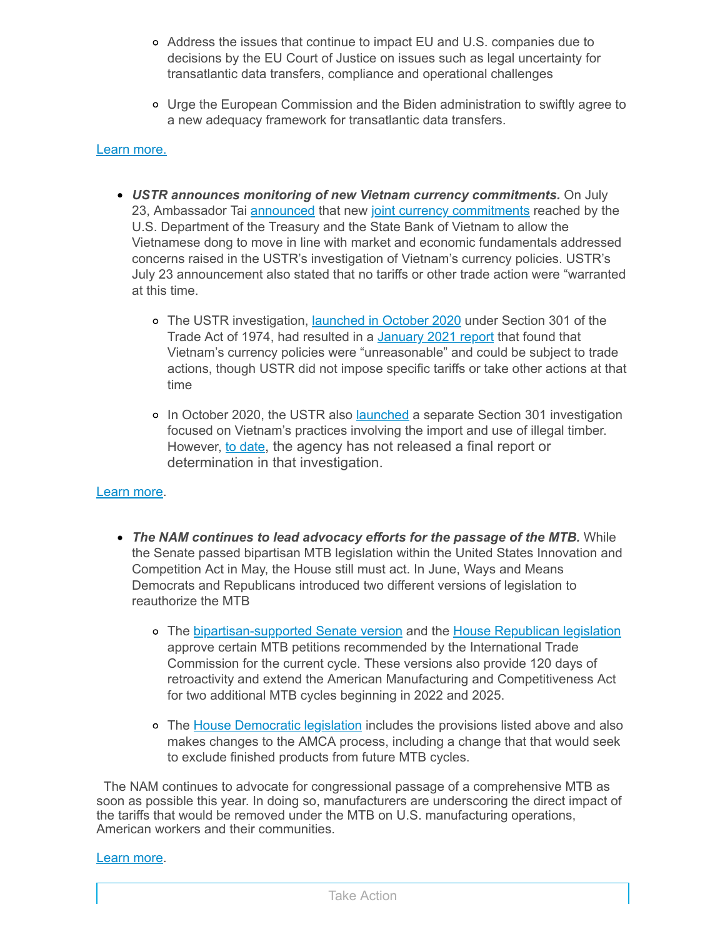- Address the issues that continue to impact EU and U.S. companies due to decisions by the EU Court of Justice on issues such as legal uncertainty for transatlantic data transfers, compliance and operational challenges
- Urge the European Commission and the Biden administration to swiftly agree to a new adequacy framework for transatlantic data transfers.

#### Learn [more.](mailto:msierra@nam.org?subject=U.S.-EU%20Privacy%20Shield%20Framework)

- *USTR announces monitoring of new Vietnam currency commitments.* On July 23, Ambassador Tai [announced](https://click.email.nam.org/?qs=944297f58779ab94b3a833afc684e38e5fb6f7c7ee47b1deac00ac6a0e703254e752e1679a91807b40422bec0a0d0ec57cf1fc761fcba45f815a1ec8cfe3bd3c) that new joint currency [commitments](https://click.email.nam.org/?qs=944297f58779ab940f706038633201879d2d6cf6eebd8bdfc91ba7634016679c7f5d9c5c84f9b5bb0b737fc1422da406bda815e0a7c717b4005d45d253feabbf) reached by the U.S. Department of the Treasury and the State Bank of Vietnam to allow the Vietnamese dong to move in line with market and economic fundamentals addressed concerns raised in the USTR's investigation of Vietnam's currency policies. USTR's July 23 announcement also stated that no tariffs or other trade action were "warranted at this time.
	- o The USTR investigation, [launched](https://click.email.nam.org/?qs=944297f58779ab9430dcd630a0276471bc1137b11cd9f84d4e4914568528911feb559e6ad3ddf37e8f54922306eca6f17b1e8d9f91ce4a5bb2e0ae00a229c266) in October 2020 under Section 301 of the Trade Act of 1974, had resulted in a [January](https://click.email.nam.org/?qs=944297f58779ab94113bf24be394d4e4c1ccb184e627dc70e7960e9a60415b4b047cca35cfc4a3355a3cb02af7d8612e69099874aa92429b632d0c4ea51f4e19) 2021 report that found that Vietnam's currency policies were "unreasonable" and could be subject to trade actions, though USTR did not impose specific tariffs or take other actions at that time
	- o In October 2020, the USTR also [launched](https://click.email.nam.org/?qs=944297f58779ab94bf902ad7f1619ca4baae20f8b49d2fdaefc2c26b932e13710020099ab82cbf1c0160563d81cc81a83dabd28045bb69e805a575f0f006485c) a separate Section 301 investigation focused on Vietnam's practices involving the import and use of illegal timber. However, to [date](https://click.email.nam.org/?qs=944297f58779ab94cbcd690b990be1b3a9d03821f2632f9d0292bb569c6cd384f0f7e88b8afd37b72e98aec3b3b5a1e3b24b02c952eb323d0efc301b1442c518), the agency has not released a final report or determination in that investigation.

#### [Learn](mailto:kmonahan@nam.org;rong@nam.org?subject=Vietnam) more.

- *The NAM continues to lead advocacy efforts for the passage of the MTB.* While the Senate passed bipartisan MTB legislation within the United States Innovation and Competition Act in May, the House still must act. In June, Ways and Means Democrats and Republicans introduced two different versions of legislation to reauthorize the MTB
	- o The [bipartisan-supported](https://click.email.nam.org/?qs=944297f58779ab94bfb129f4b92c39dea1da92e1165cff70bb41a9c44c77f0008786a62152ee96dbe59761d6e43f43196665781a6b161e61f613e00ff995a118) Senate version and the House [Republican](https://click.email.nam.org/?qs=944297f58779ab94015c3dbbd8bd7c915077dc19c8945d5eab67805995fe6046997cd820d772f38fe13cf3bfeba3585e259e0923099d37de32865a065581357d) legislation approve certain MTB petitions recommended by the International Trade Commission for the current cycle. These versions also provide 120 days of retroactivity and extend the American Manufacturing and Competitiveness Act for two additional MTB cycles beginning in 2022 and 2025.
	- o The House [Democratic](https://click.email.nam.org/?qs=944297f58779ab94e38f232087d8d280a7d31afb7902ce4dba1a6e8886e3f43ce67d1052a178491764a0603350af6e983dd70a84065fbaa5b70fcdab1295f838) legislation includes the provisions listed above and also makes changes to the AMCA process, including a change that that would seek to exclude finished products from future MTB cycles.

The NAM continues to advocate for congressional passage of a comprehensive MTB as soon as possible this year. In doing so, manufacturers are underscoring the direct impact of the tariffs that would be removed under the MTB on U.S. manufacturing operations, American workers and their communities.

#### [Learn](mailto:aaafedt@nam.org?subject=Miscellaneous%20Tariff%20Bill) more.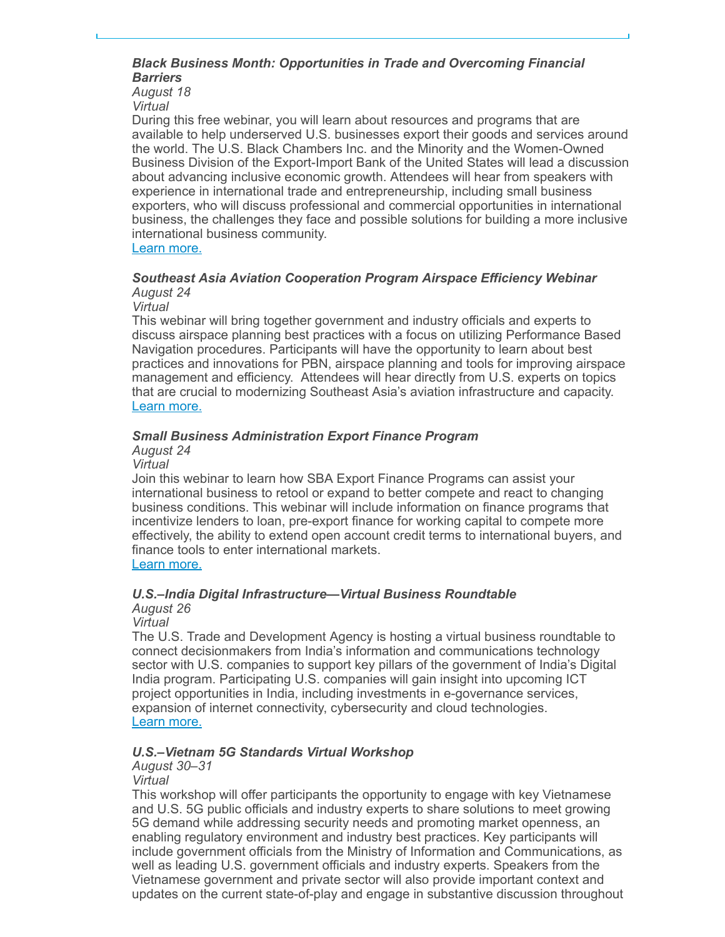#### *Black Business Month: Opportunities in Trade and Overcoming Financial Barriers*

*August 18 Virtual*

During this free webinar, you will learn about resources and programs that are available to help underserved U.S. businesses export their goods and services around the world. The U.S. Black Chambers Inc. and the Minority and the Women-Owned Business Division of the Export-Import Bank of the United States will lead a discussion about advancing inclusive economic growth. Attendees will hear from speakers with experience in international trade and entrepreneurship, including small business exporters, who will discuss professional and commercial opportunities in international business, the challenges they face and possible solutions for building a more inclusive international business community.

Learn [more.](https://click.email.nam.org/?qs=944297f58779ab94bcfe802f915bae3f7002e4f79159543c4d7efd169d744d8ac280dbd1f918de51ca5e628c0d6ea78f142d2ddf7d3d4bf22f492bc106c09fcf)

#### *Southeast Asia Aviation Cooperation Program Airspace Efficiency Webinar August 24*

*Virtual*

This webinar will bring together government and industry officials and experts to discuss airspace planning best practices with a focus on utilizing Performance Based Navigation procedures. Participants will have the opportunity to learn about best practices and innovations for PBN, airspace planning and tools for improving airspace management and efficiency. Attendees will hear directly from U.S. experts on topics that are crucial to modernizing Southeast Asia's aviation infrastructure and capacity. Learn [more.](https://click.email.nam.org/?qs=944297f58779ab94b621eb83ebcbee0de9ad14e1cc36b8c83b437cf8c04096876b9a023fe04ee60a238ba4bc8011262bbe3646ef6eb7586f825836629fd1c756)

## *Small Business Administration Export Finance Program*

## *August 24*

*Virtual*

Join this webinar to learn how SBA Export Finance Programs can assist your international business to retool or expand to better compete and react to changing business conditions. This webinar will include information on finance programs that incentivize lenders to loan, pre-export finance for working capital to compete more effectively, the ability to extend open account credit terms to international buyers, and finance tools to enter international markets.

Learn [more.](https://click.email.nam.org/?qs=944297f58779ab94565f0bac45348048d209f86927193817b4ce685f1f954e793124f38ffd125b7380652f6da39530f9f945df5395078a4e24152928af3eea94)

## *U.S.–India Digital Infrastructure—Virtual Business Roundtable*

*August 26 Virtual*

The U.S. Trade and Development Agency is hosting a virtual business roundtable to connect decisionmakers from India's information and communications technology sector with U.S. companies to support key pillars of the government of India's Digital India program. Participating U.S. companies will gain insight into upcoming ICT project opportunities in India, including investments in e-governance services, expansion of internet connectivity, cybersecurity and cloud technologies. Learn [more.](https://click.email.nam.org/?qs=944297f58779ab94c0ca780de485128149c2e18d8661487cb89bdeb0dd38a9b164b267ad28059b9a8190f9445878d694bca8aa3d75af450e1a8dc8881fd68517)

## *U.S.–Vietnam 5G Standards Virtual Workshop*

*August 30–31*

*Virtual*

This workshop will offer participants the opportunity to engage with key Vietnamese and U.S. 5G public officials and industry experts to share solutions to meet growing 5G demand while addressing security needs and promoting market openness, an enabling regulatory environment and industry best practices. Key participants will include government officials from the Ministry of Information and Communications, as well as leading U.S. government officials and industry experts. Speakers from the Vietnamese government and private sector will also provide important context and updates on the current state-of-play and engage in substantive discussion throughout